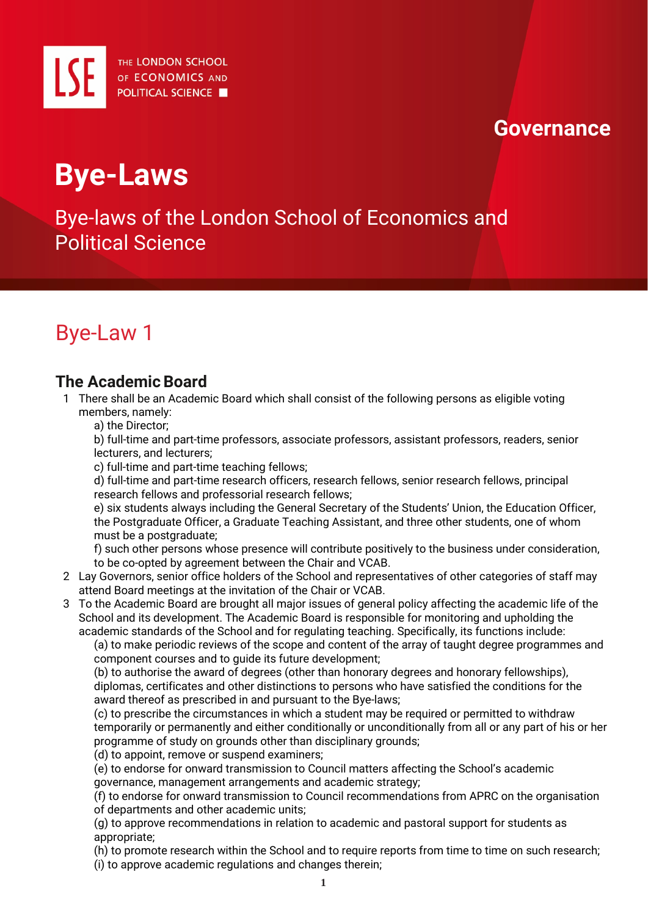

## **Governance**

# **Bye-Laws**

Bye-laws of the London School of Economics and Political Science

## Bye-Law 1

### **The Academic Board**

- 1 There shall be an Academic Board which shall consist of the following persons as eligible voting members, namely:
	- a) the Director;

b) full-time and part-time professors, associate professors, assistant professors, readers, senior lecturers, and lecturers;

c) full-time and part-time teaching fellows;

d) full-time and part-time research officers, research fellows, senior research fellows, principal research fellows and professorial research fellows;

e) six students always including the General Secretary of the Students' Union, the Education Officer, the Postgraduate Officer, a Graduate Teaching Assistant, and three other students, one of whom must be a postgraduate;

f) such other persons whose presence will contribute positively to the business under consideration, to be co-opted by agreement between the Chair and VCAB.

- 2 Lay Governors, senior office holders of the School and representatives of other categories of staff may attend Board meetings at the invitation of the Chair or VCAB.
- 3 To the Academic Board are brought all major issues of general policy affecting the academic life of the School and its development. The Academic Board is responsible for monitoring and upholding the academic standards of the School and for regulating teaching. Specifically, its functions include:

(a) to make periodic reviews of the scope and content of the array of taught degree programmes and component courses and to guide its future development;

(b) to authorise the award of degrees (other than honorary degrees and honorary fellowships), diplomas, certificates and other distinctions to persons who have satisfied the conditions for the award thereof as prescribed in and pursuant to the Bye-laws;

(c) to prescribe the circumstances in which a student may be required or permitted to withdraw temporarily or permanently and either conditionally or unconditionally from all or any part of his or her programme of study on grounds other than disciplinary grounds;

- (d) to appoint, remove or suspend examiners;
- (e) to endorse for onward transmission to Council matters affecting the School's academic

governance, management arrangements and academic strategy;

(f) to endorse for onward transmission to Council recommendations from APRC on the organisation of departments and other academic units;

(g) to approve recommendations in relation to academic and pastoral support for students as appropriate;

(h) to promote research within the School and to require reports from time to time on such research; (i) to approve academic regulations and changes therein;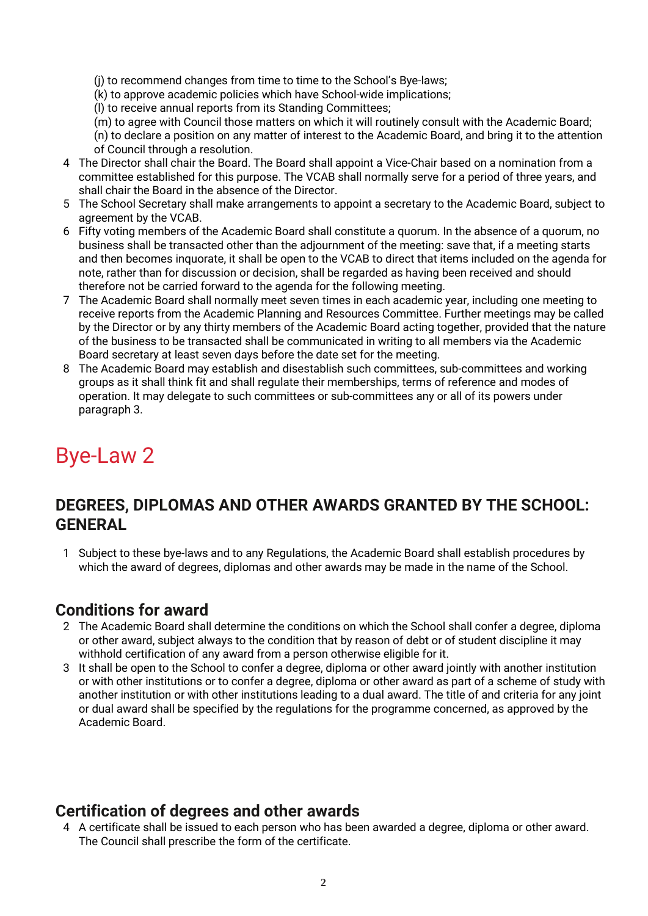(j) to recommend changes from time to time to the School's Bye-laws;

(k) to approve academic policies which have School-wide implications;

(l) to receive annual reports from its Standing Committees;

(m) to agree with Council those matters on which it will routinely consult with the Academic Board;

(n) to declare a position on any matter of interest to the Academic Board, and bring it to the attention of Council through a resolution.

- 4 The Director shall chair the Board. The Board shall appoint a Vice-Chair based on a nomination from a committee established for this purpose. The VCAB shall normally serve for a period of three years, and shall chair the Board in the absence of the Director.
- 5 The School Secretary shall make arrangements to appoint a secretary to the Academic Board, subject to agreement by the VCAB.
- 6 Fifty voting members of the Academic Board shall constitute a quorum. In the absence of a quorum, no business shall be transacted other than the adjournment of the meeting: save that, if a meeting starts and then becomes inquorate, it shall be open to the VCAB to direct that items included on the agenda for note, rather than for discussion or decision, shall be regarded as having been received and should therefore not be carried forward to the agenda for the following meeting.
- 7 The Academic Board shall normally meet seven times in each academic year, including one meeting to receive reports from the Academic Planning and Resources Committee. Further meetings may be called by the Director or by any thirty members of the Academic Board acting together, provided that the nature of the business to be transacted shall be communicated in writing to all members via the Academic Board secretary at least seven days before the date set for the meeting.
- 8 The Academic Board may establish and disestablish such committees, sub-committees and working groups as it shall think fit and shall regulate their memberships, terms of reference and modes of operation. It may delegate to such committees or sub-committees any or all of its powers under paragraph 3.

## Bye-Law 2

### **DEGREES, DIPLOMAS AND OTHER AWARDS GRANTED BY THE SCHOOL: GENERAL**

1 Subject to these bye-laws and to any Regulations, the Academic Board shall establish procedures by which the award of degrees, diplomas and other awards may be made in the name of the School.

### **Conditions for award**

- 2 The Academic Board shall determine the conditions on which the School shall confer a degree, diploma or other award, subject always to the condition that by reason of debt or of student discipline it may withhold certification of any award from a person otherwise eligible for it.
- 3 It shall be open to the School to confer a degree, diploma or other award jointly with another institution or with other institutions or to confer a degree, diploma or other award as part of a scheme of study with another institution or with other institutions leading to a dual award. The title of and criteria for any joint or dual award shall be specified by the regulations for the programme concerned, as approved by the Academic Board.

### **Certification of degrees and other awards**

4 A certificate shall be issued to each person who has been awarded a degree, diploma or other award. The Council shall prescribe the form of the certificate.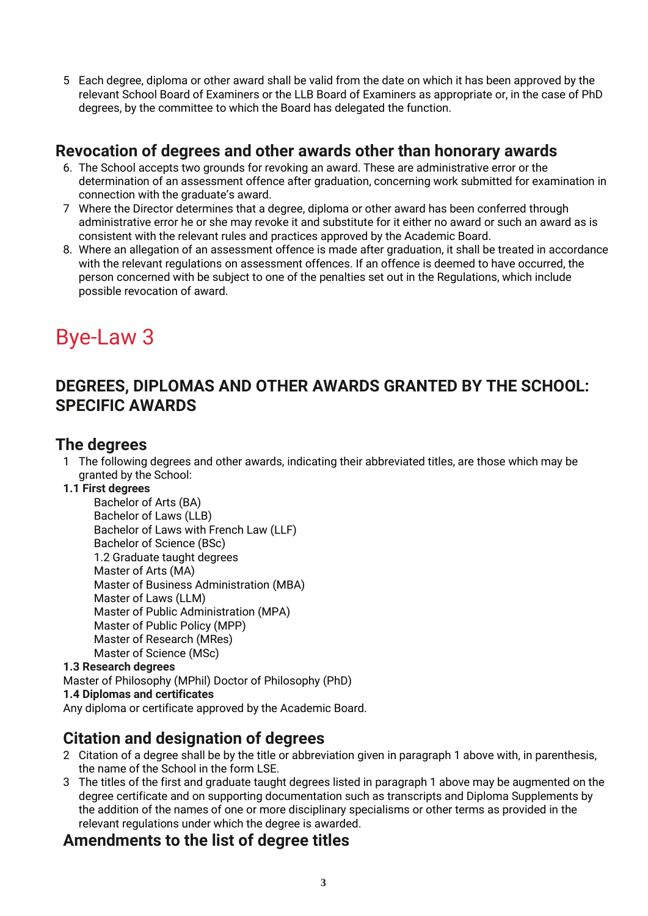5 Each degree, diploma or other award shall be valid from the date on which it has been approved by the relevant School Board of Examiners or the LLB Board of Examiners as appropriate or, in the case of PhD degrees, by the committee to which the Board has delegated the function.

### **Revocation of degrees and other awards other than honorary awards**

- 6. The School accepts two grounds for revoking an award. These are administrative error or the determination of an assessment offence after graduation, concerning work submitted for examination in connection with the graduate's award.
- 7 Where the Director determines that a degree, diploma or other award has been conferred through administrative error he or she may revoke it and substitute for it either no award or such an award as is consistent with the relevant rules and practices approved by the Academic Board.
- 8. Where an allegation of an assessment offence is made after graduation, it shall be treated in accordance with the relevant regulations on assessment offences. If an offence is deemed to have occurred, the person concerned with be subject to one of the penalties set out in the Regulations, which include possible revocation of award.

## Bye-Law 3

### **DEGREES, DIPLOMAS AND OTHER AWARDS GRANTED BY THE SCHOOL: SPECIFIC AWARDS**

### **The degrees**

- 1 The following degrees and other awards, indicating their abbreviated titles, are those which may be granted by the School:
- **1.1 First degrees**

Bachelor of Arts (BA) Bachelor of Laws (LLB) Bachelor of Laws with French Law (LLF) Bachelor of Science (BSc) 1.2 Graduate taught degrees Master of Arts (MA) Master of Business Administration (MBA) Master of Laws (LLM) Master of Public Administration (MPA) Master of Public Policy (MPP) Master of Research (MRes) Master of Science (MSc)

#### **1.3 Research degrees**  Master of Philosophy (MPhil) Doctor of Philosophy (PhD) **1.4 Diplomas and certificates**  Any diploma or certificate approved by the Academic Board.

### **Citation and designation of degrees**

- 2 Citation of a degree shall be by the title or abbreviation given in paragraph 1 above with, in parenthesis, the name of the School in the form LSE.
- 3 The titles of the first and graduate taught degrees listed in paragraph 1 above may be augmented on the degree certificate and on supporting documentation such as transcripts and Diploma Supplements by the addition of the names of one or more disciplinary specialisms or other terms as provided in the relevant regulations under which the degree is awarded.

### **Amendments to the list of degree titles**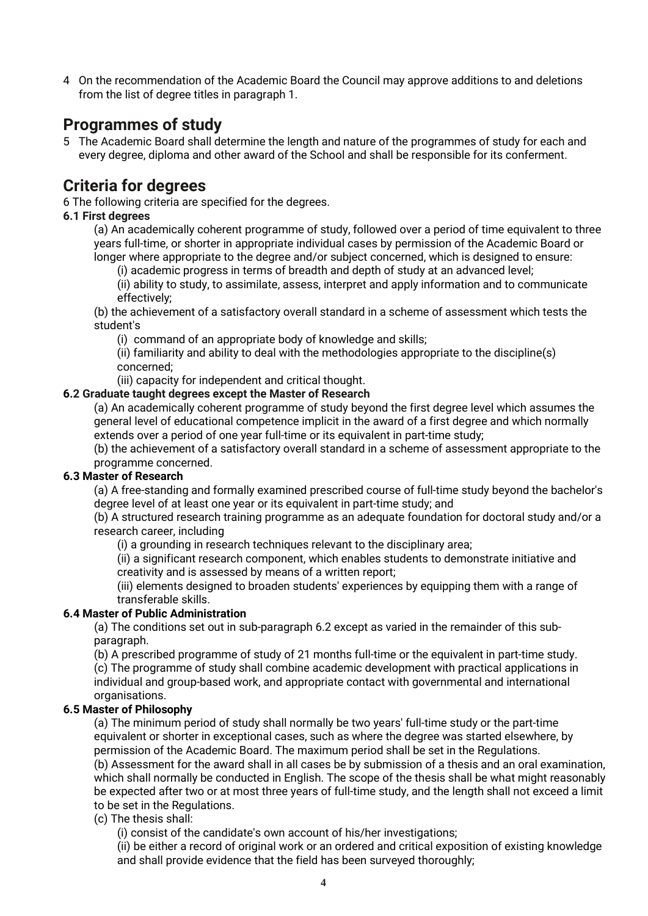4 On the recommendation of the Academic Board the Council may approve additions to and deletions from the list of degree titles in paragraph 1.

### **Programmes of study**

5 The Academic Board shall determine the length and nature of the programmes of study for each and every degree, diploma and other award of the School and shall be responsible for its conferment.

### **Criteria for degrees**

6 The following criteria are specified for the degrees.

#### **6.1 First degrees**

(a) An academically coherent programme of study, followed over a period of time equivalent to three years full-time, or shorter in appropriate individual cases by permission of the Academic Board or longer where appropriate to the degree and/or subject concerned, which is designed to ensure:

(i) academic progress in terms of breadth and depth of study at an advanced level;

(ii) ability to study, to assimilate, assess, interpret and apply information and to communicate effectively;

(b) the achievement of a satisfactory overall standard in a scheme of assessment which tests the student's

(i) command of an appropriate body of knowledge and skills;

(ii) familiarity and ability to deal with the methodologies appropriate to the discipline(s) concerned;

(iii) capacity for independent and critical thought.

#### **6.2 Graduate taught degrees except the Master of Research**

(a) An academically coherent programme of study beyond the first degree level which assumes the general level of educational competence implicit in the award of a first degree and which normally extends over a period of one year full-time or its equivalent in part-time study;

(b) the achievement of a satisfactory overall standard in a scheme of assessment appropriate to the programme concerned.

#### **6.3 Master of Research**

(a) A free-standing and formally examined prescribed course of full-time study beyond the bachelor's degree level of at least one year or its equivalent in part-time study; and

(b) A structured research training programme as an adequate foundation for doctoral study and/or a research career, including

(i) a grounding in research techniques relevant to the disciplinary area;

(ii) a significant research component, which enables students to demonstrate initiative and creativity and is assessed by means of a written report;

(iii) elements designed to broaden students' experiences by equipping them with a range of transferable skills.

#### **6.4 Master of Public Administration**

(a) The conditions set out in sub-paragraph 6.2 except as varied in the remainder of this subparagraph.

(b) A prescribed programme of study of 21 months full-time or the equivalent in part-time study.

(c) The programme of study shall combine academic development with practical applications in individual and group-based work, and appropriate contact with governmental and international organisations.

#### **6.5 Master of Philosophy**

(a) The minimum period of study shall normally be two years' full-time study or the part-time equivalent or shorter in exceptional cases, such as where the degree was started elsewhere, by permission of the Academic Board. The maximum period shall be set in the Regulations. (b) Assessment for the award shall in all cases be by submission of a thesis and an oral examination, which shall normally be conducted in English. The scope of the thesis shall be what might reasonably be expected after two or at most three years of full-time study, and the length shall not exceed a limit to be set in the Regulations.

#### (c) The thesis shall:

(i) consist of the candidate's own account of his/her investigations;

(ii) be either a record of original work or an ordered and critical exposition of existing knowledge and shall provide evidence that the field has been surveyed thoroughly;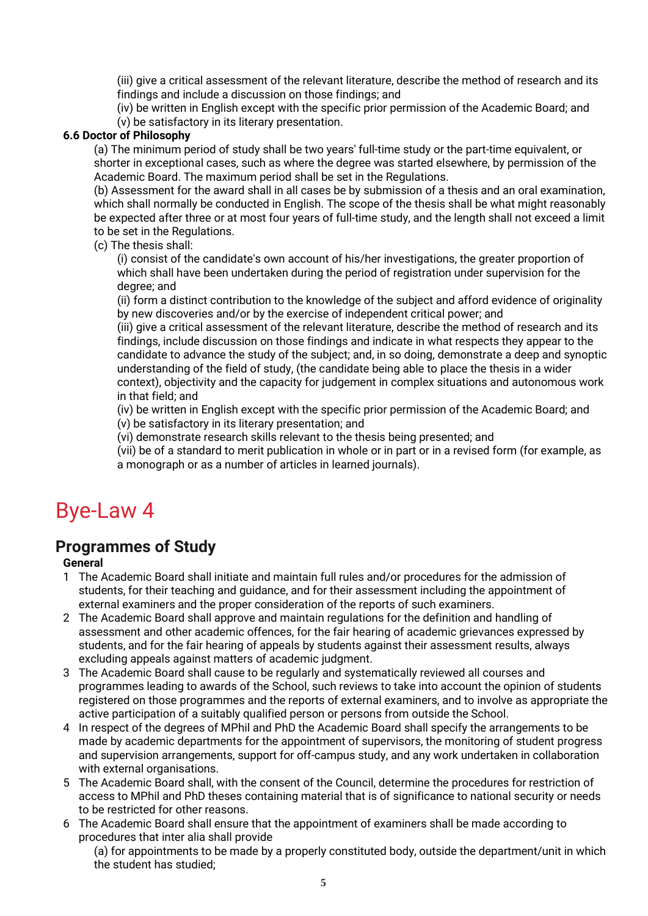(iii) give a critical assessment of the relevant literature, describe the method of research and its findings and include a discussion on those findings; and

(iv) be written in English except with the specific prior permission of the Academic Board; and (v) be satisfactory in its literary presentation.

#### **6.6 Doctor of Philosophy**

(a) The minimum period of study shall be two years' full-time study or the part-time equivalent, or shorter in exceptional cases, such as where the degree was started elsewhere, by permission of the Academic Board. The maximum period shall be set in the Regulations.

(b) Assessment for the award shall in all cases be by submission of a thesis and an oral examination, which shall normally be conducted in English. The scope of the thesis shall be what might reasonably be expected after three or at most four years of full-time study, and the length shall not exceed a limit to be set in the Regulations.

(c) The thesis shall:

(i) consist of the candidate's own account of his/her investigations, the greater proportion of which shall have been undertaken during the period of registration under supervision for the degree; and

(ii) form a distinct contribution to the knowledge of the subject and afford evidence of originality by new discoveries and/or by the exercise of independent critical power; and

(iii) give a critical assessment of the relevant literature, describe the method of research and its findings, include discussion on those findings and indicate in what respects they appear to the candidate to advance the study of the subject; and, in so doing, demonstrate a deep and synoptic understanding of the field of study, (the candidate being able to place the thesis in a wider context), objectivity and the capacity for judgement in complex situations and autonomous work in that field; and

(iv) be written in English except with the specific prior permission of the Academic Board; and (v) be satisfactory in its literary presentation; and

(vi) demonstrate research skills relevant to the thesis being presented; and

(vii) be of a standard to merit publication in whole or in part or in a revised form (for example, as a monograph or as a number of articles in learned journals).

## Bye-Law 4

### **Programmes of Study**

#### **General**

- 1 The Academic Board shall initiate and maintain full rules and/or procedures for the admission of students, for their teaching and guidance, and for their assessment including the appointment of external examiners and the proper consideration of the reports of such examiners.
- 2 The Academic Board shall approve and maintain regulations for the definition and handling of assessment and other academic offences, for the fair hearing of academic grievances expressed by students, and for the fair hearing of appeals by students against their assessment results, always excluding appeals against matters of academic judgment.
- 3 The Academic Board shall cause to be regularly and systematically reviewed all courses and programmes leading to awards of the School, such reviews to take into account the opinion of students registered on those programmes and the reports of external examiners, and to involve as appropriate the active participation of a suitably qualified person or persons from outside the School.
- 4 In respect of the degrees of MPhil and PhD the Academic Board shall specify the arrangements to be made by academic departments for the appointment of supervisors, the monitoring of student progress and supervision arrangements, support for off-campus study, and any work undertaken in collaboration with external organisations.
- 5 The Academic Board shall, with the consent of the Council, determine the procedures for restriction of access to MPhil and PhD theses containing material that is of significance to national security or needs to be restricted for other reasons.
- 6 The Academic Board shall ensure that the appointment of examiners shall be made according to procedures that inter alia shall provide

(a) for appointments to be made by a properly constituted body, outside the department/unit in which the student has studied;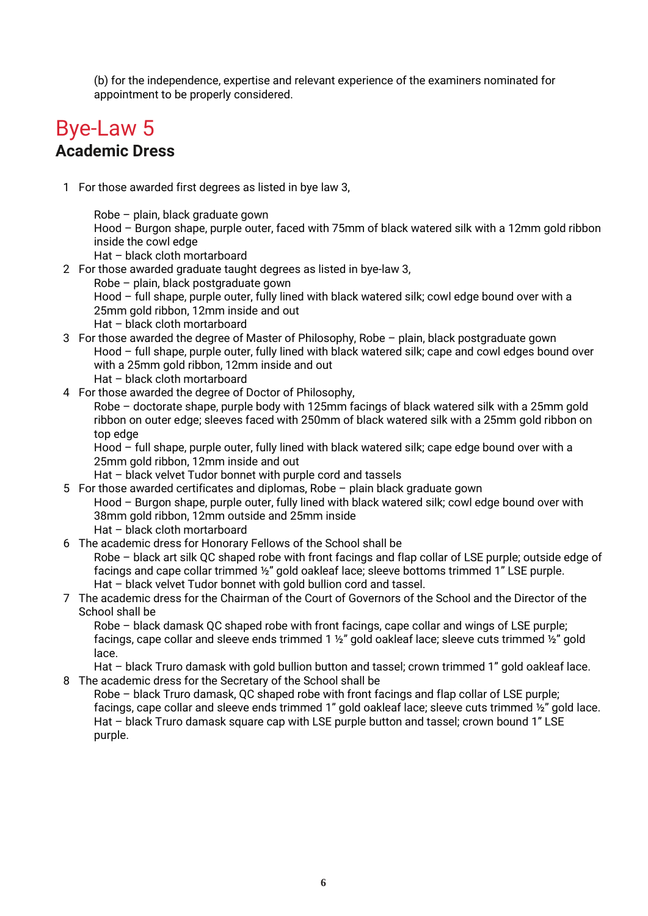(b) for the independence, expertise and relevant experience of the examiners nominated for appointment to be properly considered.

### Bye-Law 5 **Academic Dress**

1 For those awarded first degrees as listed in bye law 3,

Robe – plain, black graduate gown Hood – Burgon shape, purple outer, faced with 75mm of black watered silk with a 12mm gold ribbon inside the cowl edge

- Hat black cloth mortarboard
- 2 For those awarded graduate taught degrees as listed in bye-law 3,
	- Robe plain, black postgraduate gown

Hood – full shape, purple outer, fully lined with black watered silk; cowl edge bound over with a 25mm gold ribbon, 12mm inside and out

Hat – black cloth mortarboard

3 For those awarded the degree of Master of Philosophy, Robe – plain, black postgraduate gown Hood – full shape, purple outer, fully lined with black watered silk; cape and cowl edges bound over with a 25mm gold ribbon, 12mm inside and out

Hat – black cloth mortarboard

4 For those awarded the degree of Doctor of Philosophy,

Robe – doctorate shape, purple body with 125mm facings of black watered silk with a 25mm gold ribbon on outer edge; sleeves faced with 250mm of black watered silk with a 25mm gold ribbon on top edge

Hood – full shape, purple outer, fully lined with black watered silk; cape edge bound over with a 25mm gold ribbon, 12mm inside and out

Hat – black velvet Tudor bonnet with purple cord and tassels

5 For those awarded certificates and diplomas, Robe – plain black graduate gown Hood – Burgon shape, purple outer, fully lined with black watered silk; cowl edge bound over with 38mm gold ribbon, 12mm outside and 25mm inside Hat – black cloth mortarboard

#### 6 The academic dress for Honorary Fellows of the School shall be Robe – black art silk QC shaped robe with front facings and flap collar of LSE purple; outside edge of facings and cape collar trimmed ½" gold oakleaf lace; sleeve bottoms trimmed 1" LSE purple. Hat – black velvet Tudor bonnet with gold bullion cord and tassel.

#### 7 The academic dress for the Chairman of the Court of Governors of the School and the Director of the School shall be

Robe – black damask QC shaped robe with front facings, cape collar and wings of LSE purple; facings, cape collar and sleeve ends trimmed 1 ½" gold oakleaf lace; sleeve cuts trimmed ½" gold lace.

Hat – black Truro damask with gold bullion button and tassel; crown trimmed 1" gold oakleaf lace. 8 The academic dress for the Secretary of the School shall be

Robe – black Truro damask, QC shaped robe with front facings and flap collar of LSE purple; facings, cape collar and sleeve ends trimmed 1" gold oakleaf lace; sleeve cuts trimmed 1/2" gold lace. Hat – black Truro damask square cap with LSE purple button and tassel; crown bound 1" LSE purple.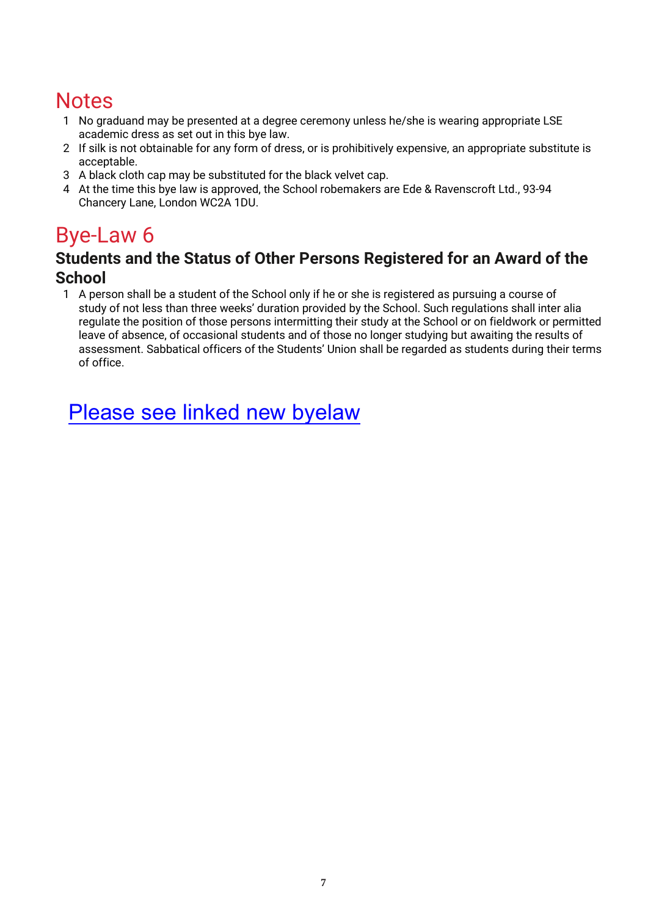## **Notes**

- 1 No graduand may be presented at a degree ceremony unless he/she is wearing appropriate LSE academic dress as set out in this bye law.
- 2 If silk is not obtainable for any form of dress, or is prohibitively expensive, an appropriate substitute is acceptable.
- 3 A black cloth cap may be substituted for the black velvet cap.
- 4 At the time this bye law is approved, the School robemakers are Ede & Ravenscroft Ltd., 93-94 Chancery Lane, London WC2A 1DU.

## Bye-Law 6

### **Students and the Status of Other Persons Registered for an Award of the School**

1 A person shall be a student of the School only if he or she is registered as pursuing a course of study of not less than three weeks' duration provided by the School. Such regulations shall inter alia regulate the position of those persons intermitting their study at the School or on fieldwork or permitted leave of absence, of occasional students and of those no longer studying but awaiting the results of assessment. Sabbatical officers of the Students' Union shall be regarded as students during their terms of office.

Please see link[ed new byelaw](https://info.lse.ac.uk/staff/divisions/Secretarys-Division/Assets/Documents/Governance/Council/Byelaw-Article-15.3.pdf)